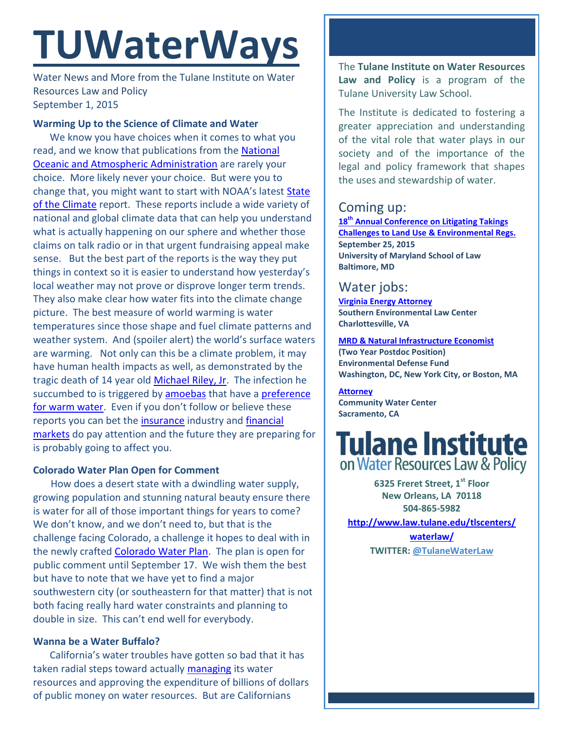# **TUWaterWays**

Water News and More from the Tulane Institute on Water Resources Law and Policy September 1, 2015

### **Warming Up to the Science of Climate and Water**

We know you have choices when it comes to what you read, and we know that publications from the National [Oceanic and Atmospheric Administration](http://www.noaa.gov/) are rarely your choice. More likely never your choice. But were you to change that, you might want to start with NOAA's latest [State](http://www.ncdc.noaa.gov/sotc/)  [of the Climate](http://www.ncdc.noaa.gov/sotc/) report. These reports include a wide variety of national and global climate data that can help you understand what is actually happening on our sphere and whether those claims on talk radio or in that urgent fundraising appeal make sense. But the best part of the reports is the way they put things in context so it is easier to understand how yesterday's local weather may not prove or disprove longer term trends. They also make clear how water fits into the climate change picture. The best measure of world warming is water temperatures since those shape and fuel climate patterns and weather system. And (spoiler alert) the world's surface waters are warming. Not only can this be a climate problem, it may have human health impacts as well, as demonstrated by the tragic death of 14 year old [Michael Riley, Jr.](http://www.cbsnews.com/news/michael-riley-jr-14-dies-after-battle-with-brain-amoeba-in-texas/) The infection he succumbed to is triggered by [amoebas](https://en.wikipedia.org/wiki/Naegleria_fowleri) that have a [preference](http://www.foxnews.com/health/2015/07/31/how-to-protect-yourself-from-deadly-amoeba/)  [for warm water.](http://www.foxnews.com/health/2015/07/31/how-to-protect-yourself-from-deadly-amoeba/) Even if you don't follow or believe these reports you can bet the [insurance](http://www.munichre.com/en/group/focus/climate-change) industry and [financial](http://www.bondbuyer.com/news/regionalnews/advocates-say-climate-right-for-resilience-ratings-1081395-1.html)  [markets](http://www.bondbuyer.com/news/regionalnews/advocates-say-climate-right-for-resilience-ratings-1081395-1.html) do pay attention and the future they are preparing for is probably going to affect you.

#### **Colorado Water Plan Open for Comment**

 How does a desert state with a dwindling water supply, growing population and stunning natural beauty ensure there is water for all of those important things for years to come? We don't know, and we don't need to, but that is the challenge facing Colorado, a challenge it hopes to deal with in the newly crafted [Colorado Water Plan.](http://coloradowaterplan.com/) The plan is open for public comment until September 17. We wish them the best but have to note that we have yet to find a major southwestern city (or southeastern for that matter) that is not both facing really hard water constraints and planning to double in size. This can't end well for everybody.

## **Wanna be a Water Buffalo?**

California's water troubles have gotten so bad that it has taken radial steps toward actually [managing](http://www.waterplan.water.ca.gov/) its water resources and approving the expenditure of billions of dollars of public money on water resources. But are Californians

The **Tulane Institute on Water Resources Law and Policy** is a program of the Tulane University Law School.

The Institute is dedicated to fostering a greater appreciation and understanding of the vital role that water plays in our society and of the importance of the legal and policy framework that shapes the uses and stewardship of water.

# Coming up:

**18th [Annual Conference on Litigating Takings](http://forms.vermontlaw.edu/elc/landuse/Takings15/)  [Challenges to Land Use & Environmental Regs.](http://forms.vermontlaw.edu/elc/landuse/Takings15/) September 25, 2015 University of Maryland School of Law Baltimore, MD**

## Water jobs:

**[Virginia Energy Attorney](http://vcnva.org/index.php/resources/job-opportunities?limitstart=0) Southern Environmental Law Center Charlottesville, VA**

**[MRD & Natural Infrastructure Economist](https://www.edf.org/jobs/mississippi-river-delta-and-natural-infrastructure-economist-2-year-post-doctoral-position) (Two Year Postdoc Position) Environmental Defense Fund Washington, DC, New York City, or Boston, MA**

**[Attorney](http://www.communitywatercenter.org/career_opportunities) Community Water Center Sacramento, CA**



**6325 Freret Street, 1st Floor New Orleans, LA 70118 504-865-5982** 

**[http://www.law.tulane.edu/tlscenters/](http://www.law.tulane.edu/tlscenters/waterlaw/)**

**[waterlaw/](http://www.law.tulane.edu/tlscenters/waterlaw/) TWITTER: [@TulaneWaterLaw](http://www.twitter.com/TulaneWaterLaw)**